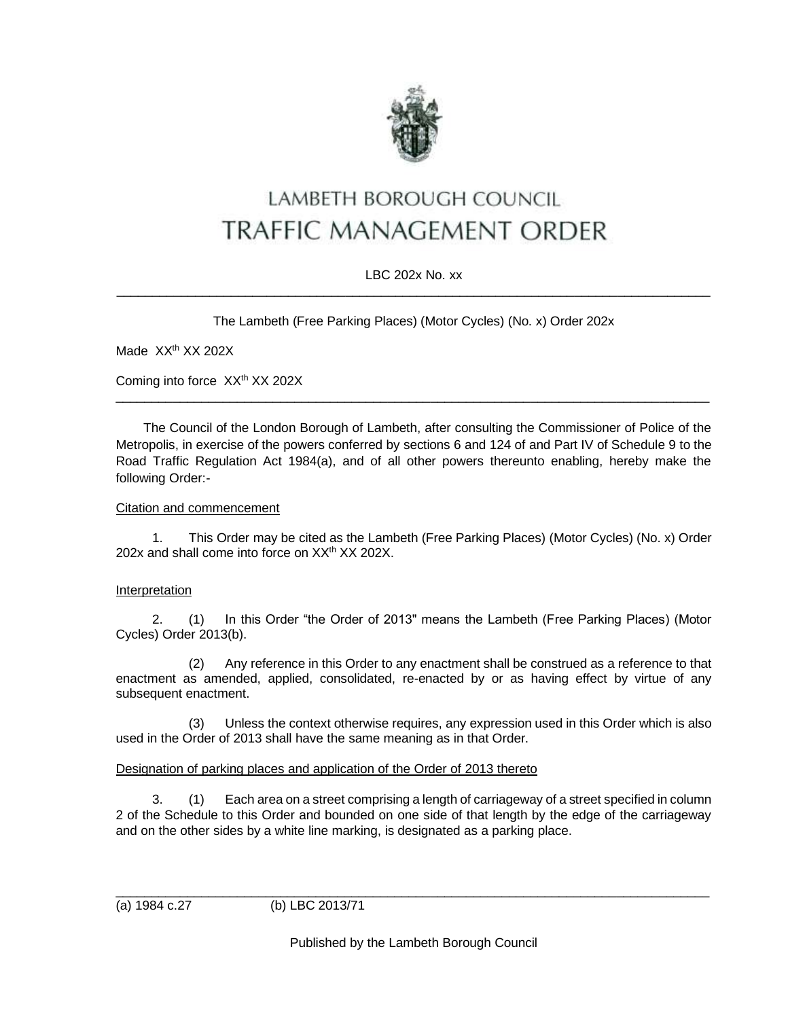

# LAMBETH BOROUGH COUNCIL **TRAFFIC MANAGEMENT ORDER**

## LBC 202x No. xx \_\_\_\_\_\_\_\_\_\_\_\_\_\_\_\_\_\_\_\_\_\_\_\_\_\_\_\_\_\_\_\_\_\_\_\_\_\_\_\_\_\_\_\_\_\_\_\_\_\_\_\_\_\_\_\_\_\_\_\_\_\_\_\_\_\_\_\_\_\_\_\_\_\_\_\_\_\_\_\_\_\_\_

The Lambeth (Free Parking Places) (Motor Cycles) (No. x) Order 202x

Made XX<sup>th</sup> XX 202X

Coming into force XX<sup>th</sup> XX 202X

The Council of the London Borough of Lambeth, after consulting the Commissioner of Police of the Metropolis, in exercise of the powers conferred by sections 6 and 124 of and Part IV of Schedule 9 to the Road Traffic Regulation Act 1984(a), and of all other powers thereunto enabling, hereby make the following Order:-

 $\_$  ,  $\_$  ,  $\_$  ,  $\_$  ,  $\_$  ,  $\_$  ,  $\_$  ,  $\_$  ,  $\_$  ,  $\_$  ,  $\_$  ,  $\_$  ,  $\_$  ,  $\_$  ,  $\_$  ,  $\_$  ,  $\_$  ,  $\_$  ,  $\_$  ,  $\_$  ,  $\_$  ,  $\_$  ,  $\_$  ,  $\_$  ,  $\_$  ,  $\_$  ,  $\_$  ,  $\_$  ,  $\_$  ,  $\_$  ,  $\_$  ,  $\_$  ,  $\_$  ,  $\_$  ,  $\_$  ,  $\_$  ,  $\_$  ,

## Citation and commencement

1. This Order may be cited as the Lambeth (Free Parking Places) (Motor Cycles) (No. x) Order 202x and shall come into force on  $XX<sup>th</sup> XX 202X$ .

# **Interpretation**

2. (1) In this Order "the Order of 2013" means the Lambeth (Free Parking Places) (Motor Cycles) Order 2013(b).

(2) Any reference in this Order to any enactment shall be construed as a reference to that enactment as amended, applied, consolidated, re-enacted by or as having effect by virtue of any subsequent enactment.

(3) Unless the context otherwise requires, any expression used in this Order which is also used in the Order of 2013 shall have the same meaning as in that Order.

#### Designation of parking places and application of the Order of 2013 thereto

3. (1) Each area on a street comprising a length of carriageway of a street specified in column 2 of the Schedule to this Order and bounded on one side of that length by the edge of the carriageway and on the other sides by a white line marking, is designated as a parking place.

(a) 1984 c.27 (b) LBC 2013/71

Published by the Lambeth Borough Council

\_\_\_\_\_\_\_\_\_\_\_\_\_\_\_\_\_\_\_\_\_\_\_\_\_\_\_\_\_\_\_\_\_\_\_\_\_\_\_\_\_\_\_\_\_\_\_\_\_\_\_\_\_\_\_\_\_\_\_\_\_\_\_\_\_\_\_\_\_\_\_\_\_\_\_\_\_\_\_\_\_\_\_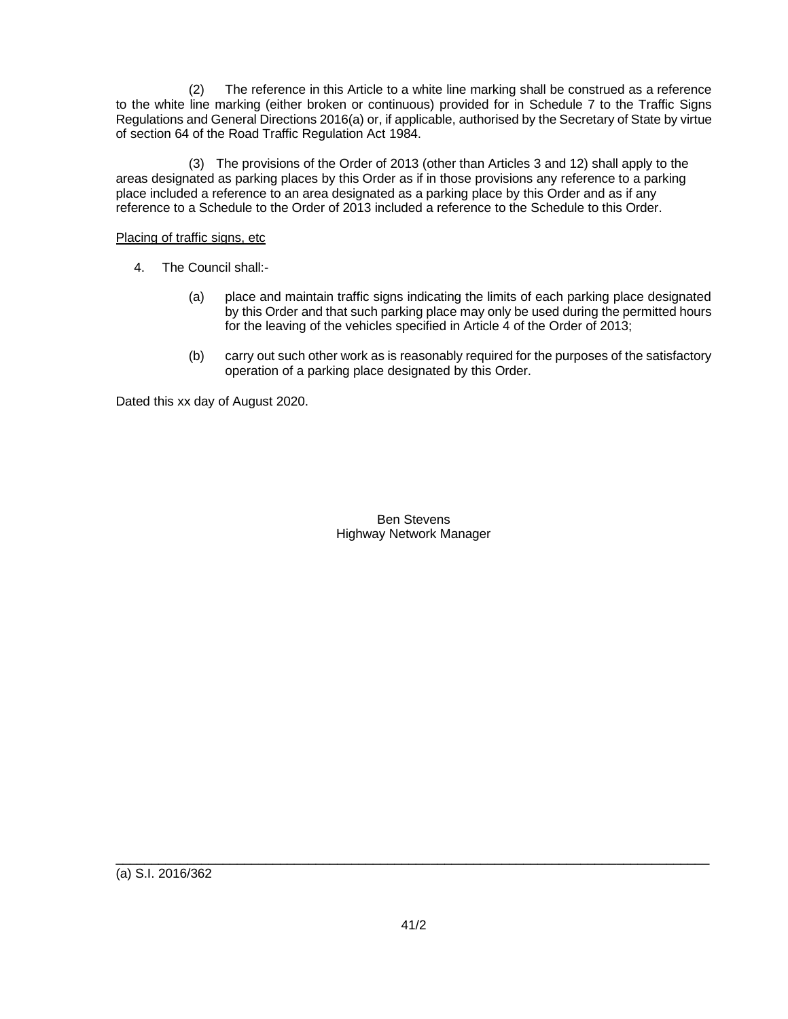(2) The reference in this Article to a white line marking shall be construed as a reference to the white line marking (either broken or continuous) provided for in Schedule 7 to the Traffic Signs Regulations and General Directions 2016(a) or, if applicable, authorised by the Secretary of State by virtue of section 64 of the Road Traffic Regulation Act 1984.

(3) The provisions of the Order of 2013 (other than Articles 3 and 12) shall apply to the areas designated as parking places by this Order as if in those provisions any reference to a parking place included a reference to an area designated as a parking place by this Order and as if any reference to a Schedule to the Order of 2013 included a reference to the Schedule to this Order.

## Placing of traffic signs, etc

- 4. The Council shall:-
	- (a) place and maintain traffic signs indicating the limits of each parking place designated by this Order and that such parking place may only be used during the permitted hours for the leaving of the vehicles specified in Article 4 of the Order of 2013;
	- (b) carry out such other work as is reasonably required for the purposes of the satisfactory operation of a parking place designated by this Order.

Dated this xx day of August 2020.

## Ben Stevens Highway Network Manager

 $\_$  ,  $\_$  ,  $\_$  ,  $\_$  ,  $\_$  ,  $\_$  ,  $\_$  ,  $\_$  ,  $\_$  ,  $\_$  ,  $\_$  ,  $\_$  ,  $\_$  ,  $\_$  ,  $\_$  ,  $\_$  ,  $\_$  ,  $\_$  ,  $\_$  ,  $\_$  ,  $\_$  ,  $\_$  ,  $\_$  ,  $\_$  ,  $\_$  ,  $\_$  ,  $\_$  ,  $\_$  ,  $\_$  ,  $\_$  ,  $\_$  ,  $\_$  ,  $\_$  ,  $\_$  ,  $\_$  ,  $\_$  ,  $\_$  ,